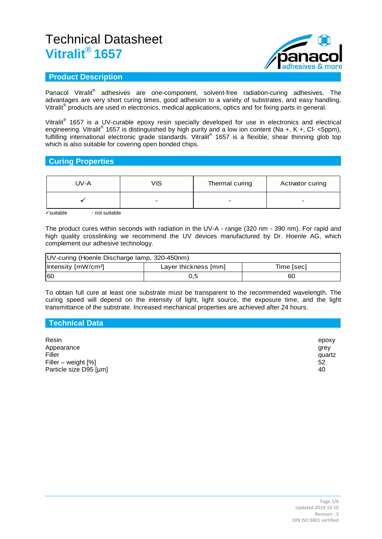

## **Product Description**

Panacol Vitralit<sup>®</sup> adhesives are one-component, solvent-free radiation-curing adhesives. The advantages are very short curing times, good adhesion to a variety of substrates, and easy handling. Vitralit® products are used in electronics, medical applications, optics and for fixing parts in general.

Vitralit<sup>®</sup> 1657 is a UV-curable epoxy resin specially developed for use in electronics and electrical engineering. Vitralit<sup>®</sup> 1657 is distinguished by high purity and a low ion content (Na +, K +, Cl- <5ppm), fulfilling international electronic grade standards. Vitralit® 1657 is a flexible, shear thinning glob top which is also suitable for covering open bonded chips.

## **Curing Properties**

| UV-A | VIS                      | Thermal curing | Activator curing         |
|------|--------------------------|----------------|--------------------------|
|      | $\overline{\phantom{0}}$ |                | $\overline{\phantom{0}}$ |

 $\checkmark$ suitable - not suitable

The product cures within seconds with radiation in the UV-A - range (320 nm - 390 nm). For rapid and high quality crosslinking we recommend the UV devices manufactured by Dr. Hoenle AG, which complement our adhesive technology.

| UV-curing (Hoenle Discharge lamp, 320-450nm) |                      |            |  |
|----------------------------------------------|----------------------|------------|--|
| Intensity [mW/cm <sup>2</sup> ]              | Layer thickness [mm] | Time [sec] |  |
| 160                                          | 0.5                  | 60         |  |

To obtain full cure at least one substrate must be transparent to the recommended wavelength. The curing speed will depend on the intensity of light, light source, the exposure time, and the light transmittance of the substrate. Increased mechanical properties are achieved after 24 hours.

| Technical Data                                                                   |                                     |
|----------------------------------------------------------------------------------|-------------------------------------|
| Resin<br>Appearance<br>Filler<br>Filler – weight $[%]$<br>Particle size D95 [µm] | epoxy<br>grey<br>quartz<br>52<br>40 |
|                                                                                  |                                     |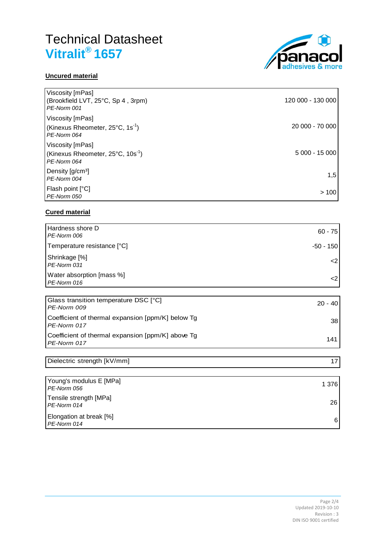



| Viscosity [mPas]<br>(Brookfield LVT, 25°C, Sp 4, 3rpm)<br>PE-Norm 001              | 120 000 - 130 000 |
|------------------------------------------------------------------------------------|-------------------|
| Viscosity [mPas]<br>(Kinexus Rheometer, $25^{\circ}$ C, $1s^{-1}$ )<br>PE-Norm 064 | 20 000 - 70 000   |
| Viscosity [mPas]<br>(Kinexus Rheometer, 25°C, 10s <sup>-1</sup> )<br>PE-Norm 064   | 5 000 - 15 000    |
| Density $\left[\frac{q}{cm^3}\right]$<br>PE-Norm 004                               | 1,5               |
| Flash point [°C]<br>PE-Norm 050                                                    | >100              |

## **Cured material**

| Hardness shore D                         |              |
|------------------------------------------|--------------|
| PE-Norm 006                              | $60 - 75$    |
| Temperature resistance [°C]              | -50 - 150    |
| Shrinkage [%]<br>PE-Norm 031             | $\epsilon$ 2 |
| Water absorption [mass %]<br>PE-Norm 016 | ر.           |
|                                          |              |

| Glass transition temperature DSC [°C]<br>PE-Norm 009             | $20 - 40$ |
|------------------------------------------------------------------|-----------|
| Coefficient of thermal expansion [ppm/K] below Tq<br>PE-Norm 017 | 38        |
| Coefficient of thermal expansion [ppm/K] above Tg<br>PE-Norm 017 | 141       |

| Dielectric strength [kV/mm]            |       |
|----------------------------------------|-------|
|                                        |       |
| Young's modulus E [MPa]<br>PE-Norm 056 | 1 376 |
| Tensile strength [MPa]<br>PE-Norm 014  | 26    |

Elongation at break [%] *PE-Norm 014* <sup>6</sup>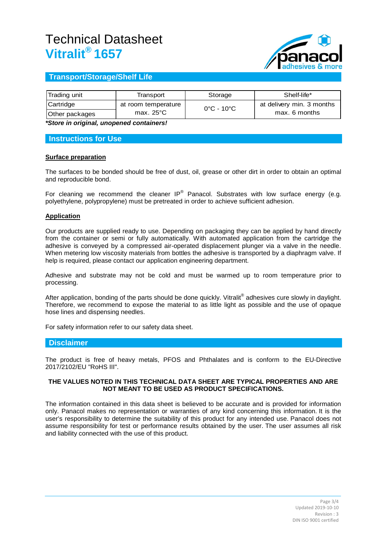

## **Transport/Storage/Shelf Life**

| Trading unit   | Transport           | Storage                         | Shelf-life*               |
|----------------|---------------------|---------------------------------|---------------------------|
| Cartridge      | at room temperature | $0^{\circ}$ C - 10 $^{\circ}$ C | at delivery min. 3 months |
| Other packages | max. $25^{\circ}$ C |                                 | max. 6 months             |

*\*Store in original, unopened containers!*

### **Instructions for Use**

### **Surface preparation**

The surfaces to be bonded should be free of dust, oil, grease or other dirt in order to obtain an optimal and reproducible bond.

For cleaning we recommend the cleaner IP® Panacol. Substrates with low surface energy (e.g. polyethylene, polypropylene) must be pretreated in order to achieve sufficient adhesion.

### **Application**

Our products are supplied ready to use. Depending on packaging they can be applied by hand directly from the container or semi or fully automatically. With automated application from the cartridge the adhesive is conveyed by a compressed air-operated displacement plunger via a valve in the needle. When metering low viscosity materials from bottles the adhesive is transported by a diaphragm valve. If help is required, please contact our application engineering department.

Adhesive and substrate may not be cold and must be warmed up to room temperature prior to processing.

After application, bonding of the parts should be done quickly. Vitralit<sup>®</sup> adhesives cure slowly in daylight. Therefore, we recommend to expose the material to as little light as possible and the use of opaque hose lines and dispensing needles.

For safety information refer to our safety data sheet.

### **Disclaimer**

The product is free of heavy metals, PFOS and Phthalates and is conform to the EU-Directive 2017/2102/EU "RoHS III".

#### **THE VALUES NOTED IN THIS TECHNICAL DATA SHEET ARE TYPICAL PROPERTIES AND ARE NOT MEANT TO BE USED AS PRODUCT SPECIFICATIONS.**

The information contained in this data sheet is believed to be accurate and is provided for information only. Panacol makes no representation or warranties of any kind concerning this information. It is the user's responsibility to determine the suitability of this product for any intended use. Panacol does not assume responsibility for test or performance results obtained by the user. The user assumes all risk and liability connected with the use of this product.